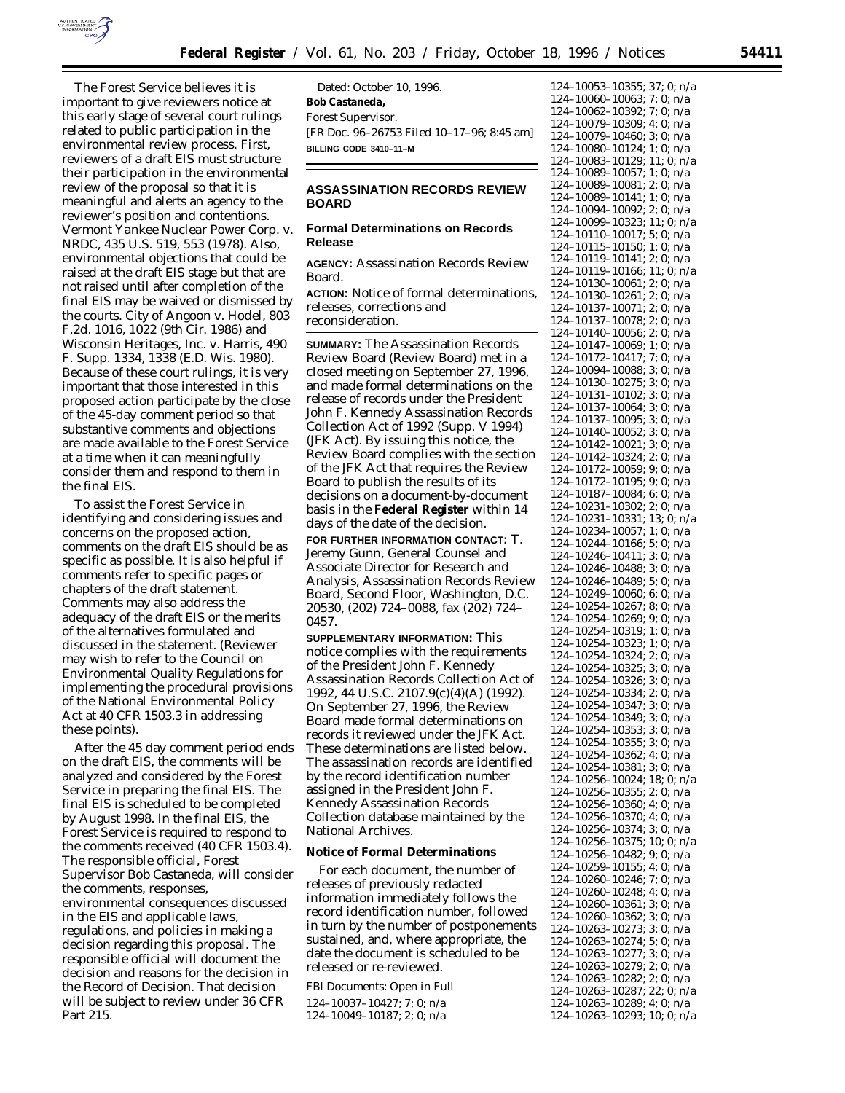

The Forest Service believes it is important to give reviewers notice at this early stage of several court rulings related to public participation in the environmental review process. First, reviewers of a draft EIS must structure their participation in the environmental review of the proposal so that it is meaningful and alerts an agency to the reviewer's position and contentions. *Vermont Yankee Nuclear Power Corp*. v. *NRDC,* 435 U.S. 519, 553 (1978). Also, environmental objections that could be raised at the draft EIS stage but that are not raised until after completion of the final EIS may be waived or dismissed by the courts. *City of Angoon* v. *Hodel,* 803 F.2d. 1016, 1022 (9th Cir. 1986) and *Wisconsin Heritages, Inc.* v. *Harris,* 490 F. Supp. 1334, 1338 (E.D. Wis. 1980). Because of these court rulings, it is very important that those interested in this proposed action participate by the close of the 45-day comment period so that substantive comments and objections are made available to the Forest Service at a time when it can meaningfully consider them and respond to them in the final EIS.

To assist the Forest Service in identifying and considering issues and concerns on the proposed action, comments on the draft EIS should be as specific as possible. It is also helpful if comments refer to specific pages or chapters of the draft statement. Comments may also address the adequacy of the draft EIS or the merits of the alternatives formulated and discussed in the statement. (Reviewer may wish to refer to the Council on Environmental Quality Regulations for implementing the procedural provisions of the National Environmental Policy Act at 40 CFR 1503.3 in addressing these points).

After the 45 day comment period ends on the draft EIS, the comments will be analyzed and considered by the Forest Service in preparing the final EIS. The final EIS is scheduled to be completed by August 1998. In the final EIS, the Forest Service is required to respond to the comments received (40 CFR 1503.4). The responsible official, Forest Supervisor Bob Castaneda, will consider the comments, responses, environmental consequences discussed in the EIS and applicable laws, regulations, and policies in making a decision regarding this proposal. The responsible official will document the decision and reasons for the decision in the Record of Decision. That decision will be subject to review under 36 CFR Part 215.

Dated: October 10, 1996. **Bob Castaneda,** *Forest Supervisor.* [FR Doc. 96–26753 Filed 10–17–96; 8:45 am] **BILLING CODE 3410–11–M**

## **ASSASSINATION RECORDS REVIEW BOARD**

## **Formal Determinations on Records Release**

**AGENCY:** Assassination Records Review Board.

**ACTION:** Notice of formal determinations, releases, corrections and reconsideration.

**SUMMARY:** The Assassination Records Review Board (Review Board) met in a closed meeting on September 27, 1996, and made formal determinations on the release of records under the President John F. Kennedy Assassination Records Collection Act of 1992 (Supp. V 1994) (JFK Act). By issuing this notice, the Review Board complies with the section of the JFK Act that requires the Review Board to publish the results of its decisions on a document-by-document basis in the **Federal Register** within 14 days of the date of the decision.

**FOR FURTHER INFORMATION CONTACT:** T. Jeremy Gunn, General Counsel and Associate Director for Research and Analysis, Assassination Records Review Board, Second Floor, Washington, D.C. 20530, (202) 724–0088, fax (202) 724– 0457.

**SUPPLEMENTARY INFORMATION:** This notice complies with the requirements of the President John F. Kennedy Assassination Records Collection Act of 1992, 44 U.S.C. 2107.9(c)(4)(A) (1992). On September 27, 1996, the Review Board made formal determinations on records it reviewed under the JFK Act. These determinations are listed below. The assassination records are identified by the record identification number assigned in the President John F. Kennedy Assassination Records Collection database maintained by the National Archives.

#### **Notice of Formal Determinations**

For each document, the number of releases of previously redacted information immediately follows the record identification number, followed in turn by the number of postponements sustained, and, where appropriate, the date the document is scheduled to be released or re-reviewed.

*FBI Documents: Open in Full*

124–10037–10427; 7; 0; n/a 124–10049–10187; 2; 0; n/a

124–10053–10355; 37; 0; n/a 124–10060–10063; 7; 0; n/a 124–10062–10392; 7; 0; n/a 124–10079–10309; 4; 0; n/a 124–10079–10460; 3; 0; n/a 124–10080–10124; 1; 0; n/a 124–10083–10129; 11; 0; n/a 124–10089–10057; 1; 0; n/a 124–10089–10081; 2; 0; n/a 124–10089–10141; 1; 0; n/a 124–10094–10092; 2; 0; n/a 124–10099–10323; 11; 0; n/a 124–10110–10017; 5; 0; n/a 124–10115–10150; 1; 0; n/a 124–10119–10141; 2; 0; n/a 124–10119–10166; 11; 0; n/a 124–10130–10061; 2; 0; n/a 124–10130–10261; 2; 0; n/a 124–10137–10071; 2; 0; n/a 124–10137–10078; 2; 0; n/a 124–10140–10056; 2; 0; n/a 124–10147–10069; 1; 0; n/a 124–10172–10417; 7; 0; n/a 124–10094–10088; 3; 0; n/a 124–10130–10275; 3; 0; n/a 124–10131–10102; 3; 0; n/a 124–10137–10064; 3; 0; n/a 124–10137–10095; 3; 0; n/a 124–10140–10052; 3; 0; n/a 124–10142–10021; 3; 0; n/a 124–10142–10324; 2; 0; n/a 124–10172–10059; 9; 0; n/a 124–10172–10195; 9; 0; n/a 124–10187–10084; 6; 0; n/a 124–10231–10302; 2; 0; n/a 124–10231–10331; 13; 0; n/a 124–10234–10057; 1; 0; n/a 124–10244–10166; 5; 0; n/a 124–10246–10411; 3; 0; n/a 124–10246–10488; 3; 0; n/a 124–10246–10489; 5; 0; n/a 124–10249–10060; 6; 0; n/a 124–10254–10267; 8; 0; n/a 124–10254–10269; 9; 0; n/a 124–10254–10319; 1; 0; n/a 124–10254–10323; 1; 0; n/a 124–10254–10324; 2; 0; n/a 124–10254–10325; 3; 0; n/a 124–10254–10326; 3; 0; n/a 124–10254–10334; 2; 0; n/a 124–10254–10347; 3; 0; n/a 124–10254–10349; 3; 0; n/a 124–10254–10353; 3; 0; n/a 124–10254–10355; 3; 0; n/a 124–10254–10362; 4; 0; n/a 124–10254–10381; 3; 0; n/a 124–10256–10024; 18; 0; n/a 124–10256–10355; 2; 0; n/a 124–10256–10360; 4; 0; n/a 124–10256–10370; 4; 0; n/a 124–10256–10374; 3; 0; n/a 124–10256–10375; 10; 0; n/a 124–10256–10482; 9; 0; n/a 124–10259–10155; 4; 0; n/a 124–10260–10246; 7; 0; n/a 124–10260–10248; 4; 0; n/a 124–10260–10361; 3; 0; n/a 124–10260–10362; 3; 0; n/a 124–10263–10273; 3; 0; n/a 124–10263–10274; 5; 0; n/a 124–10263–10277; 3; 0; n/a 124–10263–10279; 2; 0; n/a 124–10263–10282; 2; 0; n/a 124–10263–10287; 22; 0; n/a 124–10263–10289; 4; 0; n/a 124–10263–10293; 10; 0; n/a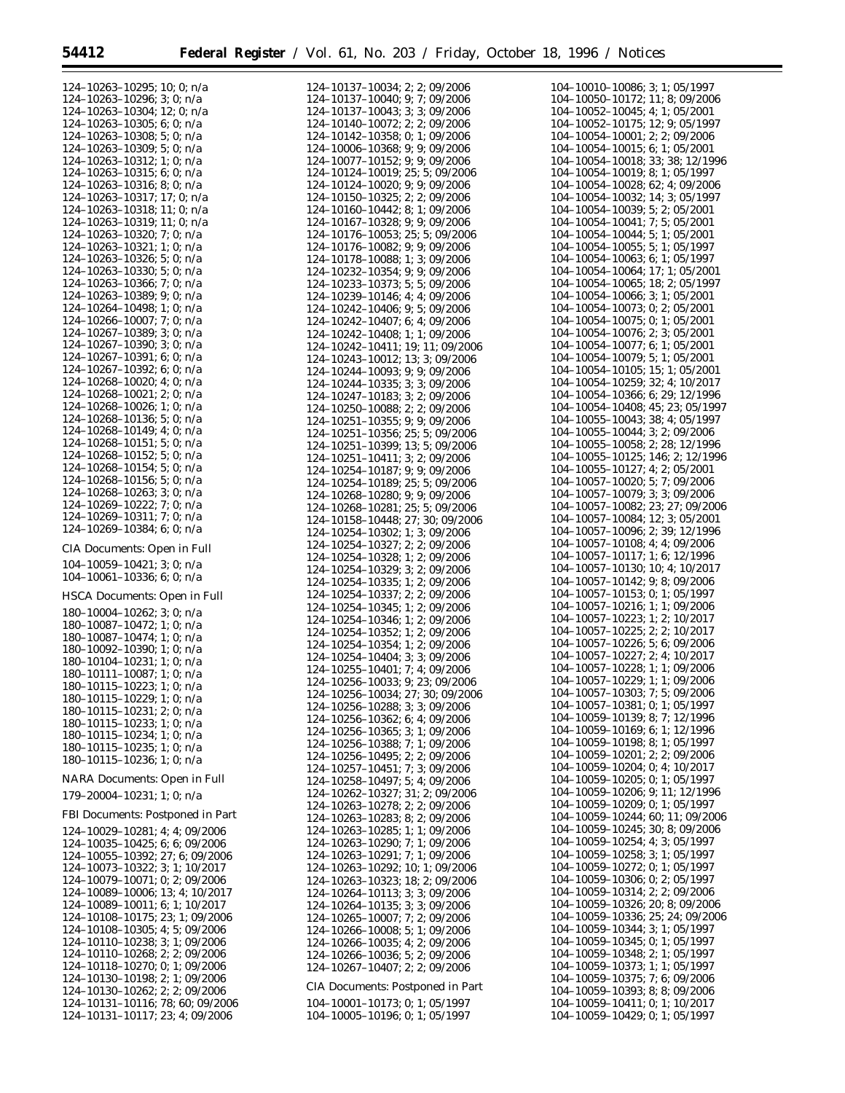| 124-10263-10295; 10; 0; n/a<br>124-10263-10296; 3; 0; n/a<br>124-10263-10296; 3; 0; n/a<br>124-10263-10304; 12; 0; n/a<br>124-10263-10305; 6; 0; n/a<br>124-10263-10308; 5; 0; n/a<br>124-10263-10309; 5; 0; n/a<br>124-10263-10312; 1; 0;       |
|--------------------------------------------------------------------------------------------------------------------------------------------------------------------------------------------------------------------------------------------------|
|                                                                                                                                                                                                                                                  |
|                                                                                                                                                                                                                                                  |
|                                                                                                                                                                                                                                                  |
|                                                                                                                                                                                                                                                  |
|                                                                                                                                                                                                                                                  |
|                                                                                                                                                                                                                                                  |
|                                                                                                                                                                                                                                                  |
|                                                                                                                                                                                                                                                  |
|                                                                                                                                                                                                                                                  |
|                                                                                                                                                                                                                                                  |
|                                                                                                                                                                                                                                                  |
|                                                                                                                                                                                                                                                  |
|                                                                                                                                                                                                                                                  |
| $124-10263-10326$ ; 5; 0; n/a<br>$124-10263-10330$ ; 5; 0; n/a                                                                                                                                                                                   |
|                                                                                                                                                                                                                                                  |
| 124-10263-10366; 7; 0; n/a<br>124-10263-10389; 9; 0; n/a                                                                                                                                                                                         |
|                                                                                                                                                                                                                                                  |
| $\begin{array}{c} 124 - 10264 - 10498; \;1; \;0; \; \text{n/a} \\ 124 - 10266 - 10007; \;7; \;0; \; \text{n/a} \end{array}$                                                                                                                      |
|                                                                                                                                                                                                                                                  |
|                                                                                                                                                                                                                                                  |
|                                                                                                                                                                                                                                                  |
|                                                                                                                                                                                                                                                  |
|                                                                                                                                                                                                                                                  |
|                                                                                                                                                                                                                                                  |
|                                                                                                                                                                                                                                                  |
|                                                                                                                                                                                                                                                  |
|                                                                                                                                                                                                                                                  |
| 124–10266–10007; 7; 0; n/a<br>124–10267–10389; 3; 0; n/a<br>124–10267–10390; 3; 0; n/a<br>124–10267–10391; 6; 0; n/a<br>124–10267–10391; 6; 0; n/a<br>124–10268–10020; 4; 0; n/a<br>124–10268–10021; 2; 0; n/a<br>124–10268–10136; 5; 0; n/      |
|                                                                                                                                                                                                                                                  |
| 124-10268-10151; 5; 0; n/a                                                                                                                                                                                                                       |
|                                                                                                                                                                                                                                                  |
|                                                                                                                                                                                                                                                  |
|                                                                                                                                                                                                                                                  |
|                                                                                                                                                                                                                                                  |
| $124-10268-10151$ ; 3; 0; fi/a<br>124-10268-10152; 5; 0; n/a<br>124-10268-10154; 5; 0; n/a<br>124-10268-10156; 5; 0; n/a<br>124-10269-10263; 3; 0; n/a<br>124-10269-10222; 7; 0; n/a<br>124-10269-10311; 7; 0; n/a<br>124-10269-10311; 7; 0; n/a |
|                                                                                                                                                                                                                                                  |
|                                                                                                                                                                                                                                                  |
|                                                                                                                                                                                                                                                  |
|                                                                                                                                                                                                                                                  |
|                                                                                                                                                                                                                                                  |
| CIA Documents: Open in Full                                                                                                                                                                                                                      |
| 104-10059-10421; 3; 0; n/a                                                                                                                                                                                                                       |
|                                                                                                                                                                                                                                                  |
| 104-10061-10336; 6; 0; n/a                                                                                                                                                                                                                       |
| HSCA Documents: Open in Full                                                                                                                                                                                                                     |
|                                                                                                                                                                                                                                                  |
|                                                                                                                                                                                                                                                  |
|                                                                                                                                                                                                                                                  |
|                                                                                                                                                                                                                                                  |
|                                                                                                                                                                                                                                                  |
|                                                                                                                                                                                                                                                  |
|                                                                                                                                                                                                                                                  |
|                                                                                                                                                                                                                                                  |
| 180-10004-10262; 3; 0; n/a<br>180-10087-10472; 1; 0; n/a<br>180-10087-10474; 1; 0; n/a<br>180-10092-10390; 1; 0; n/a<br>180-10104-10231; 1; 0; n/a<br>180-10111-10087; 1; 0; n/a<br>180-10115-10223; 1; 0; n/a<br>180-10115-10223; 1; 0; n/a     |
|                                                                                                                                                                                                                                                  |
|                                                                                                                                                                                                                                                  |
|                                                                                                                                                                                                                                                  |
|                                                                                                                                                                                                                                                  |
|                                                                                                                                                                                                                                                  |
| 180-10115-10229; 1; 0; n/a<br>180-10115-10229; 1; 0; n/a<br>180-10115-10231; 2; 0; n/a<br>180-10115-10233; 1; 0; n/a<br>180-10115-10234; 1; 0; n/a<br>180-10115-10235; 1; 0; n/a<br>180-10115-10236; 1; 0; n/a                                   |
|                                                                                                                                                                                                                                                  |
| NARA Documents: Open in Full                                                                                                                                                                                                                     |
| 179-20004-10231; 1; 0; n/a                                                                                                                                                                                                                       |
| FBI Documents: Postponed in Part                                                                                                                                                                                                                 |
|                                                                                                                                                                                                                                                  |
|                                                                                                                                                                                                                                                  |
|                                                                                                                                                                                                                                                  |
|                                                                                                                                                                                                                                                  |
|                                                                                                                                                                                                                                                  |
|                                                                                                                                                                                                                                                  |
| $124-10029-10281; 4; 4; 09/2006\n124-10035-10425; 6; 6; 09/2006\n124-10055-10392; 27; 6; 09/2006\n124-10073-10322; 3; 1; 10/2017\n124-10079-10071; 0; 2; 09/2006\n124-10089-10006; 13; 4; 10/2017$                                               |
|                                                                                                                                                                                                                                                  |
| 124-10089-10011; 6; 1; 10/2017<br>124-10108-1011; 6; 1; 10/2017                                                                                                                                                                                  |
| 124-10108-10305; 4; 5; 09/2006                                                                                                                                                                                                                   |
| 124-10110-10238; 3; 1; 09/2006                                                                                                                                                                                                                   |
|                                                                                                                                                                                                                                                  |
|                                                                                                                                                                                                                                                  |
| 124-10110-10268; 2; 2; 09/2006<br>124-10118-10270; 0; 1; 09/2006<br>$124-10130-10198; 2; 1; 09/2006$<br>$124-10130-10262; 2; 2; 09/2006$                                                                                                         |

124–10130–10262; 2; 2; 09/2006 124–10131–10116; 78; 60; 09/2006 124–10131–10117; 23; 4; 09/2006

| 124–10137–10034; 2; 2; 09/2006                                                                           |                            |
|----------------------------------------------------------------------------------------------------------|----------------------------|
| $124-10137-10040; 9; 7; 09/2006$<br>$124-10137-10043; 3; 3; 09/2006$<br>$124-10140-10072; 2; 2; 09/2006$ |                            |
|                                                                                                          |                            |
|                                                                                                          |                            |
| $124-10142-10358$ ; 0; 1; 09/2006<br>124-10006-10368; 9; 9; 09/2006                                      |                            |
|                                                                                                          |                            |
|                                                                                                          |                            |
| $124-10077-10152$ ; 9; 9; 09/2006<br>124-10124-10019; 25; 5; 09/2006                                     |                            |
| 124-10124-10020; 9; 9; 09/2006                                                                           |                            |
| 124-10150-10325; 2; 2; 09/2006                                                                           |                            |
| 124-10160-10442; 8; 1; 09/2006                                                                           |                            |
| 124-10167-10328; 9; 9; 09/2006                                                                           |                            |
| 124-10176-10053; 25; 5; 09/2006                                                                          |                            |
| 124-10176-10082; 9; 9; 09/2006                                                                           |                            |
| 124-10178-10088; 1; 3; 09/2006                                                                           |                            |
| 124-10232-10354; 9; 9; 09/2006                                                                           |                            |
| 124-10233-10373; 5; 5; 09/2006                                                                           |                            |
| 124-10239-10146; 4; 4; 09/2006                                                                           |                            |
| 124-10242-10406; 9; 5; 09/2006                                                                           |                            |
| 124-10242-10407; 6; 4; 09/2006                                                                           |                            |
|                                                                                                          |                            |
| 124-10242-10408; 1; 1; 09/2006                                                                           |                            |
| 124-10242-10411; 19; 11; 09/2006                                                                         |                            |
| 124-10243-10012; 13; 3; 09/2006                                                                          |                            |
| 124-10244-10093; 9; 9; 09/2006                                                                           |                            |
| 124-10244-10335; 3; 3; 09/2006                                                                           |                            |
| 124-10247-10183; 3; 2; 09/2006                                                                           |                            |
| 124-10250-10088; 2; 2; 09/2006                                                                           |                            |
| 124-10251-10355; 9; 9; 09/2006                                                                           |                            |
| 124-10251-10356; 25; 5; 09/2006                                                                          |                            |
| 124-10251-10399; 13; 5; 09/2006                                                                          |                            |
| 124-10251-10411; 3; 2; 09/2006                                                                           |                            |
| 124-10254-10187; 9; 9; 09/2006                                                                           |                            |
| 124-10254-10189; 25; 5; 09/2006                                                                          |                            |
| 124-10268-10280; 9; 9; 09/2006                                                                           |                            |
| 124-10268-10281; 25; 5; 09/2006                                                                          |                            |
| 124-10158-10448; 27; 30; 09/2006                                                                         |                            |
| 124-10254-10302; 1; 3; 09/2006                                                                           |                            |
| 124-10254-10327; 2; 2; 09/2006                                                                           |                            |
| 124-10254-10328; 1; 2; 09/2006                                                                           |                            |
| 124-10254-10329; 3; 2; 09/2006                                                                           |                            |
| 124-10254-10335; 1; 2; 09/2006                                                                           |                            |
| 124-10254-10337; 2; 2; 09/2006                                                                           |                            |
|                                                                                                          |                            |
| 124-10254-10345; 1; 2; 09/2006                                                                           |                            |
| 124-10254-10346; 1; 2; 09/2006                                                                           |                            |
| 124-10254-10352; 1; 2; 09/2006                                                                           |                            |
| 124-10254-10354; 1; 2; 09/2006                                                                           |                            |
| 124-10254-10404; 3; 3; 09/2006<br>124-10255-10401; 7; 4; 09/2006                                         |                            |
|                                                                                                          |                            |
| 124-10256-10033; 9; 23; 09/2006                                                                          |                            |
| 124-10256-10034; 27; 30; 09/2006                                                                         |                            |
| 124-10256-10288; 3; 3; 09/2006                                                                           |                            |
| 124-10256-10362; 6; 4; 09/2006                                                                           |                            |
| 124-10256-10365; 3; 1; 09/2006                                                                           |                            |
| 124-10256-10388;                                                                                         | 7; 1; 09/2006              |
| 124-10256-10495; 2; 2; 09/2006                                                                           |                            |
| 124-10257-10451;                                                                                         | 7; 3; 09/2006              |
| 124-10258-10497;                                                                                         | 5; 4; 09/2006              |
| 124-10262-10327;                                                                                         | 31; 2; 09/2006             |
| 124-10263-10278;                                                                                         | 2; 2; 09/2006              |
| 124-10263-10283;                                                                                         | 8; 2; 09/2006              |
| 124-10263-10285;                                                                                         | 1; 1; 09/2006              |
| 124-10263-10290;                                                                                         | 7;                         |
| 124-10263-10291;                                                                                         | 1;09/2006<br>7; 1; 09/2006 |
| 124-10263-10292;                                                                                         | 10; 1; 09/2006             |
| 124-10263-10323;                                                                                         |                            |
| 124-10264-10113; 3; 3; 09/2006                                                                           | 18; 2; 09/2006             |
|                                                                                                          |                            |
| 124-10264-10135; 3; 3; 09/2006                                                                           |                            |
| 124-10265-10007;                                                                                         | 7; 2; 09/2006              |
| 124-10266-10008; 5; 1; 09/2006                                                                           |                            |
| 124-10266-10035; 4; 2; 09/2006                                                                           |                            |
| 124-10266-10036; 5; 2; 09/2006                                                                           |                            |
| 124-10267-10407; 2; 2; 09/2006                                                                           |                            |
| CIA Documents: Postponed in Part                                                                         |                            |
|                                                                                                          |                            |

104–10001–10173; 0; 1; 05/1997 104–10005–10196; 0; 1; 05/1997

| 104–10050–10172; 11; 8; 09/2006<br>104–10052–10045; 4; 1; 05/2001                                                                       |
|-----------------------------------------------------------------------------------------------------------------------------------------|
|                                                                                                                                         |
| $104-10052-10175$ ; 12; 9; 05/1997<br>104-10054-10001; 2; 2; 09/2006                                                                    |
|                                                                                                                                         |
| 104-10054-10015; 6; 1; 05/2001                                                                                                          |
| 104-10054-10018; 33; 38; 12/1996                                                                                                        |
| 104-10054-10019; 8; 1; 05/1997                                                                                                          |
| 104-10054-10028; 62; 4; 09/2006                                                                                                         |
| 104-10054-10032; 14; 3; 05/1997                                                                                                         |
| 104-10054-10039; 5; 2; 05/2001                                                                                                          |
| 104-10054-10041; 7; 5; 05/2001                                                                                                          |
| 104-10054-10044; 5; 1; 05/2001                                                                                                          |
| $104-10054-10055$ ; 5; 1; 05/1997<br>104-10054-10063; 6; 1; 05/1997                                                                     |
|                                                                                                                                         |
| 104–10054–10064; 17; 1; 05/2001<br>104–10054–10064; 17; 1; 05/2001                                                                      |
|                                                                                                                                         |
| $104-10054-10066$ ; 3; 1; 05/2001<br>104-10054-10073; 0; 2; 05/2001<br>104-10054-10075; 0; 1; 05/2001<br>104-10054-10076; 2; 3; 05/2001 |
|                                                                                                                                         |
|                                                                                                                                         |
|                                                                                                                                         |
| $104-10054-10077$ ; 6; 1; 05/2001<br>$104-10054-10079$ ; 5; 1; 05/2001                                                                  |
|                                                                                                                                         |
| $104-10054-10105$ ; 15, 1; 05/2001<br>104-10054-10259; 32; 4; 10/2017                                                                   |
|                                                                                                                                         |
| $104-10054-10366$ ; 6; 29; 12/1996<br>104-10054-10408; 45; 23; 05/1997                                                                  |
|                                                                                                                                         |
| $104-10055-10043$ ; 38; 4; 05/1997<br>104-10055-10044; 3; 2; 09/2006                                                                    |
|                                                                                                                                         |
| 104–10055–10058; 2; 28; 12/1996<br>104–10055–10058; 2; 28; 12/1996<br>104–10055–10125; 146; 2; 12/1996                                  |
|                                                                                                                                         |
| $104-10055-10127$ ; 4; 2; 05/2001<br>104-10057-10020; 5; 7; 09/2006                                                                     |
|                                                                                                                                         |
| $104-10057-10079$ ; 3; 3; 09/2006<br>104-10057-10082; 23; 27; 09/2006                                                                   |
|                                                                                                                                         |
| $104-10057-10084$ ; 12; 3; 05/2001<br>104-10057-10096; 2; 39; 12/1996                                                                   |
|                                                                                                                                         |
|                                                                                                                                         |
|                                                                                                                                         |
| $104-10057-10108$ ; 4; 4; 09/2006<br>104-10057-10117; 1; 6; 12/1996                                                                     |
| $104-10057-10130$ ; 10; 4; 10/2017<br>104-10057-10142; 9; 8; 09/2006                                                                    |
|                                                                                                                                         |
| $104-10057-10153; 0; 1; 05/1997$<br>$104-10057-10216; 1; 1; 09/2006$                                                                    |
|                                                                                                                                         |
| $104-10057-10223; 1; 2; 10/2017$<br>$104-10057-10225; 2; 2; 10/2017$                                                                    |
|                                                                                                                                         |
| $104-10057-10226$ ; 5; 6; 09/2006<br>104-10057-10227; 2; 4; 10/2017                                                                     |
|                                                                                                                                         |
| $104-10057-10228; 1; 1; 09/2006$<br>$104-10057-10229; 1; 1; 09/2006$                                                                    |
|                                                                                                                                         |
| $104-10057-10303; 7; 5; 09/2006$<br>$104-10057-10381; 0; 1; 05/1997$                                                                    |
|                                                                                                                                         |
| 104-10059-10139; 8; 7; 12/1996<br>104-10059-10169; 6; 1; 12/1996                                                                        |
|                                                                                                                                         |
| $104-10059-10198$ ; 8; 1; 05/1997<br>104-10059-10201; 2; 2; 09/2006                                                                     |
| $104-10059-10204; 0; 4; 10/2017$<br>$104-10059-10205; 0; 1; 05/1997$                                                                    |
|                                                                                                                                         |
| $104-10059-10206$ ; 9; 11; 12/1996<br>104-10059-10209; 0; 1; 05/1997                                                                    |
| 104-10059-10244; 60; 11; 09/2006                                                                                                        |
| $104-10059-10245$ ; 30; 8; 09/2006                                                                                                      |
|                                                                                                                                         |
| $104-10059-10254$ ; 4; 3; 05/1997<br>104-10059-10258; 3; 1; 05/1997                                                                     |
| 104-10059-10272; 0; 1; 05/1997                                                                                                          |
| $104-10059-10306; 0; 2; 05/1997$                                                                                                        |
|                                                                                                                                         |
| $104-10059-10314; 2; 2; 09/2006$<br>$104-10059-10326; 20; 8; 09/2006$                                                                   |
| 104-10059-10336; 25; 24; 09/2006                                                                                                        |
| $104-10059-10344$ ; 3; 1; 05/1997                                                                                                       |
|                                                                                                                                         |
| $104-10059-10345; 0; 1; 05/1997$<br>$104-10059-10348; 2; 1; 05/1997$                                                                    |
|                                                                                                                                         |
| 104-10059-10373; 1; 1; 05/1997<br>104-10059-10375; 7; 6; 09/2006                                                                        |
| $104-10059-10393; 8; 8; 09/2006$<br>$104-10059-10411; 0; 1; 10/2017$<br>104-10059-10429; 0; 1; 05/1997                                  |

104–10010–10086; 3; 1; 05/1997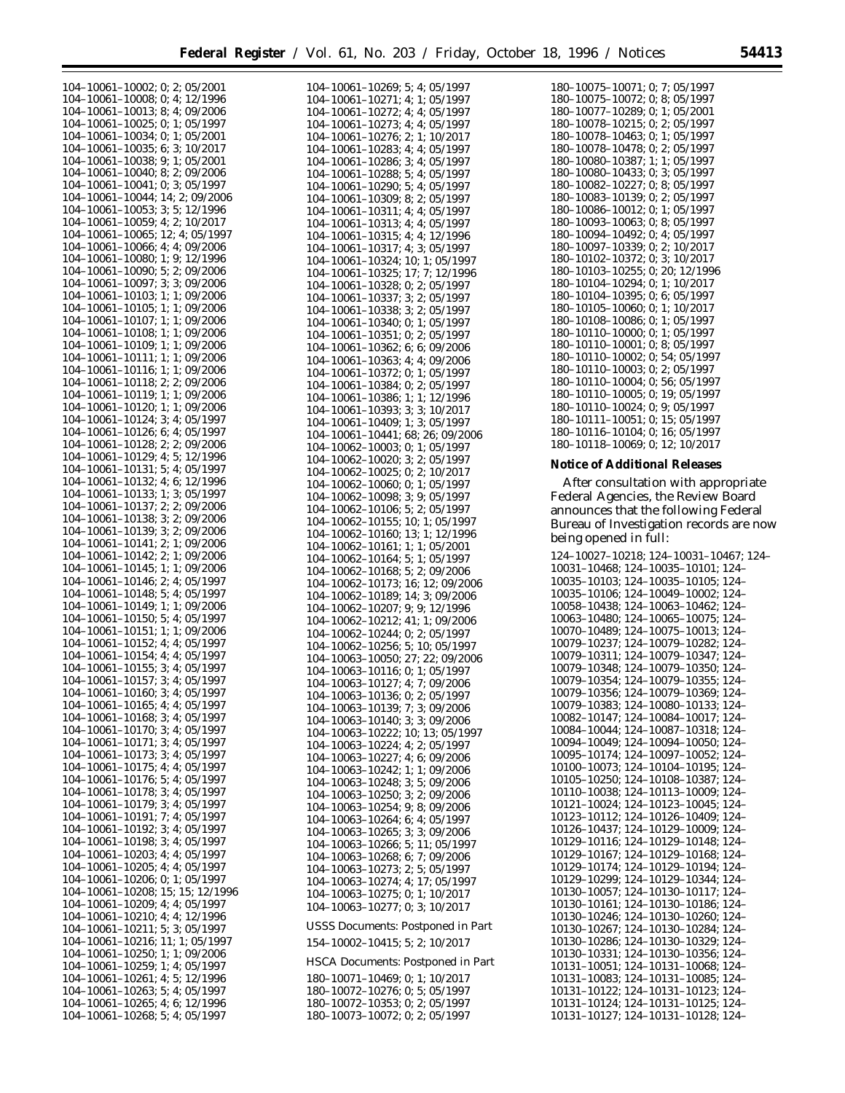$\equiv$ 

▀

| $104-10061-10002$ ; 0; 2; 05/2001     | $104-10061-10269$ ; 5; 4; 05/1997        | 180-10075-10071; 0; 7; 05/1997          |
|---------------------------------------|------------------------------------------|-----------------------------------------|
| $104-10061-10008$ ; 0; 4; 12/1996     | $104-10061-10271$ ; 4; 1; 05/1997        | $180 - 10075 - 10072$ ; 0; 8; 05/1997   |
| 104-10061-10013; 8; 4; 09/2006        | $104-10061-10272$ ; 4; 4; 05/1997        | 180-10077-10289; 0; 1; 05/2001          |
|                                       |                                          |                                         |
| $104-10061-10025$ ; 0; 1; 05/1997     | $104-10061-10273$ ; 4; 4; 05/1997        | $180 - 10078 - 10215$ ; 0; 2; 05/1997   |
| 104-10061-10034; 0; 1; 05/2001        | 104-10061-10276; 2; 1; 10/2017           | 180-10078-10463; 0; 1; 05/1997          |
| 104-10061-10035; 6; 3; 10/2017        | $104-10061-10283$ ; 4; 4; 05/1997        | $180 - 10078 - 10478$ ; 0; 2; 05/1997   |
|                                       |                                          | 180-10080-10387; 1; 1; 05/1997          |
| 104-10061-10038; 9; 1; 05/2001        | $104-10061-10286$ ; 3; 4; 05/1997        |                                         |
| $104-10061-10040$ ; 8; 2; 09/2006     | $104-10061-10288$ ; 5; 4; 05/1997        | 180-10080-10433; 0; 3; 05/1997          |
| 104-10061-10041; 0; 3; 05/1997        | $104-10061-10290$ ; 5; 4; 05/1997        | $180-10082-10227$ ; 0; 8; 05/1997       |
| 104-10061-10044; 14; 2; 09/2006       |                                          | 180-10083-10139; 0; 2; 05/1997          |
|                                       | $104-10061-10309$ ; 8; 2; 05/1997        |                                         |
| 104-10061-10053; 3; 5; 12/1996        | $104-10061-10311$ ; 4; 4; 05/1997        | $180-10086-10012$ ; 0; 1; 05/1997       |
| 104-10061-10059; 4; 2; 10/2017        | $104-10061-10313$ ; 4; 4; 05/1997        | $180 - 10093 - 10063$ ; 0; 8; 05/1997   |
| 104–10061–10065; 12; 4; 05/1997       | $104-10061-10315$ ; 4; 4; 12/1996        | $180-10094-10492$ ; 0; 4; 05/1997       |
|                                       |                                          |                                         |
| 104-10061-10066; 4; 4; 09/2006        | $104-10061-10317$ ; 4; 3; 05/1997        | 180-10097-10339; 0; 2; 10/2017          |
| 104-10061-10080; 1; 9; 12/1996        | 104-10061-10324; 10; 1; 05/1997          | 180-10102-10372; 0; 3; 10/2017          |
| $104-10061-10090$ ; 5; 2; 09/2006     | 104-10061-10325; 17; 7; 12/1996          | 180-10103-10255; 0; 20; 12/1996         |
| 104-10061-10097; 3; 3; 09/2006        |                                          | 180-10104-10294; 0; 1; 10/2017          |
|                                       | $104-10061-10328$ ; 0; 2; 05/1997        |                                         |
| 104-10061-10103; 1; 1; 09/2006        | $104 - 10061 - 10337$ ; 3; 2; 05/1997    | $180 - 10104 - 10395$ ; 0; 6; 05/1997   |
| 104-10061-10105; 1; 1; 09/2006        | $104-10061-10338; 3; 2; 05/1997$         | 180-10105-10060; 0; 1; 10/2017          |
| 104-10061-10107; 1; 1; 09/2006        |                                          | 180-10108-10086; 0; 1; 05/1997          |
|                                       | $104-10061-10340; 0; 1; 05/1997$         |                                         |
| 104-10061-10108; 1; 1; 09/2006        | $104-10061-10351$ ; 0; 2; 05/1997        | $180 - 10110 - 10000$ ; 0; 1; 05/1997   |
| 104-10061-10109; 1; 1; 09/2006        | $104-10061-10362$ ; 6; 6; 09/2006        | $180-10110-10001$ ; 0; 8; 05/1997       |
| 104-10061-10111; 1; 1; 09/2006        |                                          | 180-10110-10002; 0; 54; 05/1997         |
|                                       | $104-10061-10363$ ; 4; 4; 09/2006        |                                         |
| 104-10061-10116; 1; 1; 09/2006        | $104-10061-10372$ ; 0; 1; 05/1997        | $180-10110-10003; 0; 2; 05/1997$        |
| 104-10061-10118; 2; 2; 09/2006        | $104-10061-10384$ ; 0; 2; 05/1997        | 180-10110-10004; 0; 56; 05/1997         |
| 104-10061-10119; 1; 1; 09/2006        |                                          | 180-10110-10005; 0; 19; 05/1997         |
|                                       | $104-10061-10386$ ; 1; 1; 12/1996        |                                         |
| 104-10061-10120; 1; 1; 09/2006        | $104-10061-10393; 3; 3; 10/2017$         | 180-10110-10024; 0; 9; 05/1997          |
| 104-10061-10124; 3; 4; 05/1997        | $104-10061-10409; 1; 3; 05/1997$         | 180-10111-10051; 0; 15; 05/1997         |
| $104-10061-10126$ ; 6; 4; 05/1997     |                                          | 180-10116-10104; 0; 16; 05/1997         |
|                                       | 104-10061-10441; 68; 26; 09/2006         | 180-10118-10069; 0; 12; 10/2017         |
| 104-10061-10128; 2; 2; 09/2006        | $104-10062-10003$ ; 0; 1; 05/1997        |                                         |
| 104-10061-10129; 4; 5; 12/1996        | 104-10062-10020; 3; 2; 05/1997           |                                         |
| $104 - 10061 - 10131$ ; 5; 4; 05/1997 |                                          | Notice of Additional Releases           |
|                                       | $104-10062-10025$ ; 0; 2; $10/2017$      |                                         |
| 104-10061-10132; 4; 6; 12/1996        | 104-10062-10060; 0; 1; 05/1997           | After consultation with appropriate     |
| 104-10061-10133; 1; 3; 05/1997        | $104-10062-10098$ ; 3; 9; 05/1997        | Federal Agencies, the Review Board      |
| $104-10061-10137; 2; 2; 09/2006$      | $104-10062-10106$ ; 5; 2; 05/1997        |                                         |
|                                       |                                          | announces that the following Federal    |
| 104-10061-10138; 3; 2; 09/2006        | $104-10062-10155$ ; 10; 1; 05/1997       | Bureau of Investigation records are now |
| 104-10061-10139; 3; 2; 09/2006        | $104-10062-10160$ ; 13; 1; 12/1996       | being opened in full:                   |
| 104-10061-10141; 2; 1; 09/2006        | $104-10062-10161$ ; 1; 1; 05/2001        |                                         |
| 104-10061-10142; 2; 1; 09/2006        |                                          | 124-10027-10218; 124-10031-10467; 124-  |
|                                       | 104-10062-10164; 5; 1; 05/1997           |                                         |
| 104-10061-10145; 1; 1; 09/2006        | $104-10062-10168$ ; 5; 2; 09/2006        | 10031-10468; 124-10035-10101; 124-      |
| 104-10061-10146; 2; 4; 05/1997        | 104-10062-10173; 16; 12; 09/2006         | $10035 - 10103$ ; 124-10035-10105; 124- |
| $104-10061-10148$ ; 5; 4; 05/1997     |                                          | $10035 - 10106$ ; 124-10049-10002; 124- |
|                                       | $104-10062-10189$ ; 14; 3; 09/2006       |                                         |
| 104-10061-10149; 1; 1; 09/2006        | $104-10062-10207$ ; 9; 9; 12/1996        | 10058–10438; 124–10063–10462; 124–      |
| $104-10061-10150$ ; 5; 4; 05/1997     | 104-10062-10212; 41; 1; 09/2006          | 10063-10480; 124-10065-10075; 124-      |
| 104-10061-10151; 1; 1; 09/2006        |                                          | 10070-10489; 124-10075-10013; 124-      |
|                                       | $104-10062-10244$ ; 0; 2; 05/1997        |                                         |
| 104-10061-10152; 4; 4; 05/1997        | $104-10062-10256$ ; 5; 10; 05/1997       | 10079-10237; 124-10079-10282; 124-      |
| 104–10061–10154; 4; 4; 05/1997        | 104-10063-10050; 27; 22; 09/2006         | 10079-10311; 124-10079-10347; 124-      |
| 104-10061-10155; 3; 4; 05/1997        |                                          | 10079-10348; 124-10079-10350; 124-      |
|                                       | $104-10063-10116$ ; 0; 1; 05/1997        |                                         |
| $104-10061-10157$ ; 3; 4; 05/1997     | $104 - 10063 - 10127$ ; 4; 7; 09/2006    | 10079-10354; 124-10079-10355; 124-      |
| 104–10061–10160; 3; 4; 05/1997        | 104-10063-10136; 0; 2; 05/1997           | 10079-10356: 124-10079-10369: 124-      |
| 104-10061-10165; 4; 4; 05/1997        |                                          | 10079-10383; 124-10080-10133; 124-      |
| 104-10061-10168; 3; 4; 05/1997        | $104-10063-10139; 7; 3; 09/2006$         | 10082-10147; 124-10084-10017; 124-      |
|                                       | $104-10063-10140; 3; 3; 09/2006$         |                                         |
| 104-10061-10170; 3; 4; 05/1997        | 104-10063-10222; 10; 13; 05/1997         | 10084–10044; 124–10087–10318; 124–      |
| 104-10061-10171; 3; 4; 05/1997        | $104 - 10063 - 10224$ ; 4; 2; 05/1997    | 10094-10049; 124-10094-10050; 124-      |
| $104 - 10061 - 10173$ ; 3; 4; 05/1997 | 104-10063-10227; 4; 6; 09/2006           | 10095-10174; 124-10097-10052; 124-      |
|                                       |                                          |                                         |
| 104-10061-10175; 4; 4; 05/1997        | $104-10063-10242$ ; 1; 1; 09/2006        | 10100–10073; 124–10104–10195; 124–      |
| $104-10061-10176$ ; 5; 4; 05/1997     | $104-10063-10248$ ; 3; 5; 09/2006        | 10105-10250; 124-10108-10387; 124-      |
| 104-10061-10178; 3; 4; 05/1997        | $104-10063-10250$ ; 3; 2; 09/2006        | 10110-10038; 124-10113-10009; 124-      |
|                                       |                                          |                                         |
| $104 - 10061 - 10179$ ; 3; 4; 05/1997 | $104-10063-10254$ ; 9; 8; 09/2006        | 10121-10024; 124-10123-10045; 124-      |
| 104-10061-10191; 7; 4; 05/1997        | $104-10063-10264$ ; 6; 4; 05/1997        | 10123-10112; 124-10126-10409; 124-      |
| $104-10061-10192$ ; 3; 4; 05/1997     | $104-10063-10265$ ; 3; 3; 09/2006        | 10126-10437; 124-10129-10009; 124-      |
| 104-10061-10198; 3; 4; 05/1997        |                                          | 10129-10116; 124-10129-10148; 124-      |
|                                       | $104-10063-10266$ ; 5; 11; 05/1997       |                                         |
| $104 - 10061 - 10203$ ; 4; 4; 05/1997 | $104-10063-10268$ ; 6; 7; 09/2006        | 10129-10167; 124-10129-10168; 124-      |
| $104-10061-10205$ ; 4; 4; 05/1997     | $104-10063-10273$ ; 2; 5; 05/1997        | 10129-10174; 124-10129-10194; 124-      |
| $104-10061-10206$ ; 0; 1; 05/1997     |                                          | 10129-10299; 124-10129-10344; 124-      |
|                                       | $104-10063-10274$ ; 4; 17; 05/1997       |                                         |
| 104-10061-10208; 15; 15; 12/1996      | $104-10063-10275$ ; 0; 1; 10/2017        | 10130–10057; 124–10130–10117; 124–      |
| $104 - 10061 - 10209$ ; 4; 4; 05/1997 | $104-10063-10277$ ; 0; 3; $10/2017$      | 10130-10161; 124-10130-10186; 124-      |
| 104-10061-10210; 4; 4; 12/1996        |                                          | 10130–10246; 124–10130–10260; 124–      |
|                                       | <b>USSS Documents: Postponed in Part</b> |                                         |
| $104 - 10061 - 10211$ ; 5; 3; 05/1997 |                                          | 10130-10267; 124-10130-10284; 124-      |
| 104–10061–10216; 11; 1; 05/1997       | 154-10002-10415; 5; 2; 10/2017           | 10130-10286; 124-10130-10329; 124-      |
| 104-10061-10250; 1; 1; 09/2006        |                                          | 10130-10331; 124-10130-10356; 124-      |
| 104-10061-10259; 1; 4; 05/1997        | <b>HSCA Documents: Postponed in Part</b> | 10131-10051; 124-10131-10068; 124-      |
|                                       |                                          |                                         |
| 104-10061-10261; 4; 5; 12/1996        | 180-10071-10469; 0; 1; 10/2017           | 10131-10083; 124-10131-10085; 124-      |
| $104-10061-10263$ ; 5; 4; 05/1997     | $180 - 10072 - 10276$ ; 0; 5; 05/1997    | 10131-10122; 124-10131-10123; 124-      |
| 104-10061-10265; 4; 6; 12/1996        | $180 - 10072 - 10353$ ; 0; 2; 05/1997    | 10131-10124; 124-10131-10125; 124-      |
|                                       |                                          |                                         |
|                                       |                                          | 10131-10127; 124-10131-10128; 124-      |
| $104-10061-10268$ ; 5; 4; 05/1997     | $180 - 10073 - 10072$ ; 0; 2; 05/1997    |                                         |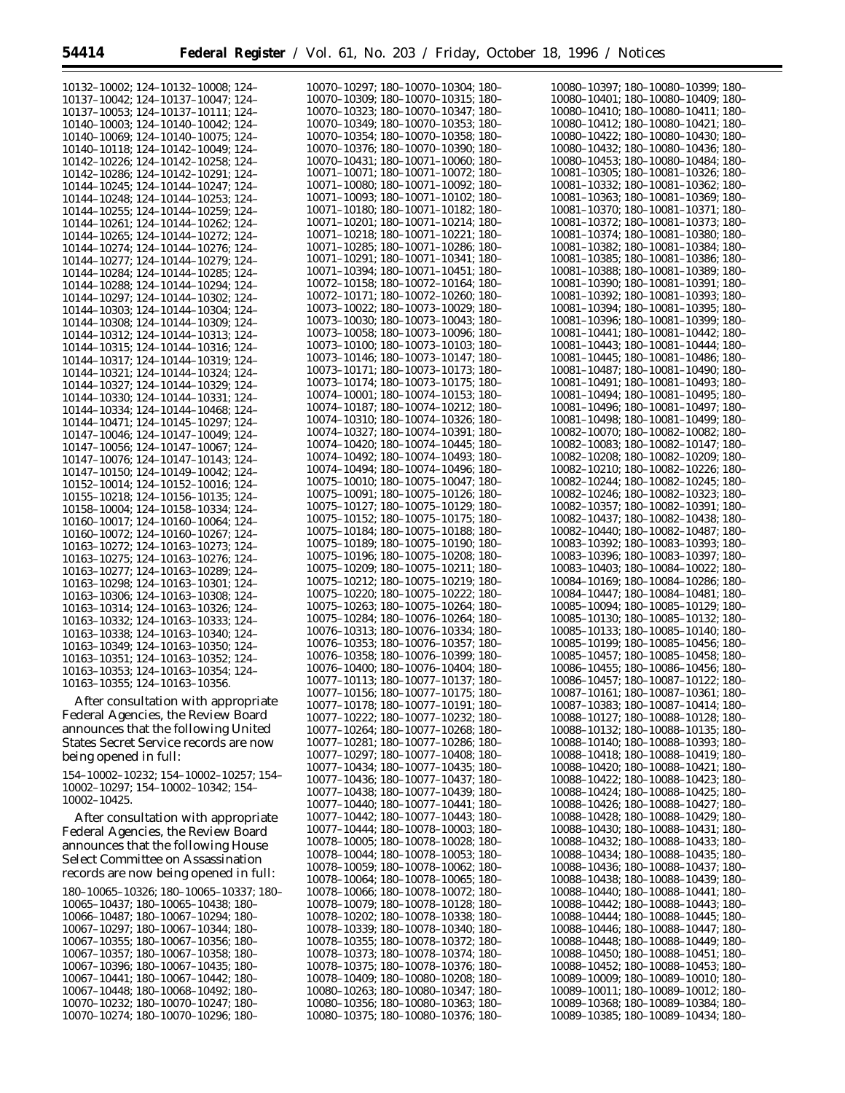10067–10448; 180–10068–10492; 180– 10070–10232; 180–10070–10247; 180– 10070–10274; 180–10070–10296; 180–

| 10132-10002; 124-10132-10008; 124-      | 10070-10297; 180-10070-10304; 180-      | 10080-10397; 180-10080-10399; 180- |
|-----------------------------------------|-----------------------------------------|------------------------------------|
| 10137-10042; 124-10137-10047; 124-      | 10070-10309; 180-10070-10315; 180-      | 10080-10401; 180-10080-10409; 180- |
| 10137-10053; 124-10137-10111; 124-      | 10070-10323; 180-10070-10347; 180-      | 10080-10410; 180-10080-10411; 180- |
| 10140-10003; 124-10140-10042; 124-      | 10070-10349; 180-10070-10353; 180-      | 10080-10412; 180-10080-10421; 180- |
| 10140-10069; 124-10140-10075; 124-      | 10070-10354; 180-10070-10358; 180-      | 10080-10422; 180-10080-10430; 180- |
| 10140-10118; 124-10142-10049; 124-      | 10070-10376; 180-10070-10390; 180-      | 10080-10432; 180-10080-10436; 180- |
|                                         | 10070-10431; 180-10071-10060; 180-      | 10080-10453; 180-10080-10484; 180- |
| 10142-10226; 124-10142-10258; 124-      |                                         |                                    |
| 10142-10286: 124-10142-10291: 124-      | 10071-10071; 180-10071-10072; 180-      | 10081-10305; 180-10081-10326; 180- |
| 10144-10245; 124-10144-10247; 124-      | $10071 - 10080$ ; 180-10071-10092; 180- | 10081-10332; 180-10081-10362; 180- |
| 10144-10248; 124-10144-10253; 124-      | 10071-10093; 180-10071-10102; 180-      | 10081-10363; 180-10081-10369; 180- |
| 10144-10255; 124-10144-10259; 124-      | 10071-10180; 180-10071-10182; 180-      | 10081-10370; 180-10081-10371; 180- |
| 10144-10261; 124-10144-10262; 124-      | 10071-10201; 180-10071-10214; 180-      | 10081-10372; 180-10081-10373; 180- |
| 10144-10265; 124-10144-10272; 124-      | 10071-10218; 180-10071-10221; 180-      | 10081-10374; 180-10081-10380; 180- |
| 10144-10274; 124-10144-10276; 124-      | 10071-10285; 180-10071-10286; 180-      | 10081-10382: 180-10081-10384: 180- |
| 10144-10277; 124-10144-10279; 124-      | 10071-10291; 180-10071-10341; 180-      | 10081-10385; 180-10081-10386; 180- |
| 10144-10284; 124-10144-10285; 124-      | 10071-10394; 180-10071-10451; 180-      | 10081-10388; 180-10081-10389; 180- |
| 10144-10288; 124-10144-10294; 124-      | 10072-10158; 180-10072-10164; 180-      | 10081-10390; 180-10081-10391; 180- |
| 10144-10297; 124-10144-10302; 124-      | 10072-10171; 180-10072-10260; 180-      | 10081-10392; 180-10081-10393; 180- |
| 10144-10303; 124-10144-10304; 124-      | 10073-10022; 180-10073-10029; 180-      | 10081-10394; 180-10081-10395; 180- |
|                                         | 10073-10030; 180-10073-10043; 180-      | 10081-10396; 180-10081-10399; 180- |
| 10144-10308; 124-10144-10309; 124-      | 10073-10058; 180-10073-10096; 180-      | 10081-10441; 180-10081-10442; 180- |
| 10144-10312; 124-10144-10313; 124-      |                                         |                                    |
| 10144-10315; 124-10144-10316; 124-      | 10073-10100; 180-10073-10103; 180-      | 10081-10443; 180-10081-10444; 180- |
| 10144-10317; 124-10144-10319; 124-      | 10073-10146; 180-10073-10147; 180-      | 10081-10445; 180-10081-10486; 180- |
| 10144-10321; 124-10144-10324; 124-      | 10073-10171; 180-10073-10173; 180-      | 10081-10487; 180-10081-10490; 180- |
| 10144-10327; 124-10144-10329; 124-      | 10073-10174; 180-10073-10175; 180-      | 10081-10491; 180-10081-10493; 180- |
| 10144-10330; 124-10144-10331; 124-      | 10074-10001; 180-10074-10153; 180-      | 10081-10494; 180-10081-10495; 180- |
| 10144-10334: 124-10144-10468: 124-      | 10074-10187; 180-10074-10212; 180-      | 10081-10496; 180-10081-10497; 180- |
| 10144-10471; 124-10145-10297; 124-      | 10074-10310; 180-10074-10326; 180-      | 10081-10498: 180-10081-10499: 180- |
| 10147-10046: 124-10147-10049: 124-      | 10074-10327; 180-10074-10391; 180-      | 10082-10070; 180-10082-10082; 180- |
|                                         | 10074-10420; 180-10074-10445; 180-      | 10082-10083; 180-10082-10147; 180- |
| 10147-10056; 124-10147-10067; 124-      | 10074-10492; 180-10074-10493; 180-      | 10082-10208; 180-10082-10209; 180- |
| 10147-10076; 124-10147-10143; 124-      |                                         |                                    |
| 10147-10150; 124-10149-10042; 124-      | 10074-10494; 180-10074-10496; 180-      | 10082-10210: 180-10082-10226: 180- |
| 10152-10014; 124-10152-10016; 124-      | 10075-10010; 180-10075-10047; 180-      | 10082-10244; 180-10082-10245; 180- |
| 10155-10218; 124-10156-10135; 124-      | 10075-10091; 180-10075-10126; 180-      | 10082-10246; 180-10082-10323; 180- |
| 10158-10004; 124-10158-10334; 124-      | 10075-10127; 180-10075-10129; 180-      | 10082-10357; 180-10082-10391; 180- |
| 10160-10017; 124-10160-10064; 124-      | 10075-10152; 180-10075-10175; 180-      | 10082-10437; 180-10082-10438; 180- |
| 10160-10072; 124-10160-10267; 124-      | 10075-10184; 180-10075-10188; 180-      | 10082-10440; 180-10082-10487; 180- |
| 10163-10272; 124-10163-10273; 124-      | 10075-10189; 180-10075-10190; 180-      | 10083-10392; 180-10083-10393; 180- |
|                                         | 10075-10196; 180-10075-10208; 180-      | 10083-10396; 180-10083-10397; 180- |
| 10163-10275; 124-10163-10276; 124-      | 10075-10209; 180-10075-10211; 180-      | 10083-10403; 180-10084-10022; 180- |
| 10163-10277; 124-10163-10289; 124-      |                                         |                                    |
| 10163-10298; 124-10163-10301; 124-      | 10075-10212; 180-10075-10219; 180-      | 10084-10169; 180-10084-10286; 180- |
| 10163-10306; 124-10163-10308; 124-      | 10075-10220; 180-10075-10222; 180-      | 10084-10447; 180-10084-10481; 180- |
| 10163-10314; 124-10163-10326; 124-      | 10075-10263; 180-10075-10264; 180-      | 10085-10094; 180-10085-10129; 180- |
| 10163-10332: 124-10163-10333: 124-      | 10075-10284; 180-10076-10264; 180-      | 10085-10130; 180-10085-10132; 180- |
| 10163-10338; 124-10163-10340; 124-      | 10076-10313: 180-10076-10334: 180-      | 10085-10133: 180-10085-10140: 180- |
| 10163-10349; 124-10163-10350; 124-      | 10076-10353; 180-10076-10357; 180-      | 10085-10199; 180-10085-10456; 180- |
| 10163-10351; 124-10163-10352; 124-      | 10076-10358; 180-10076-10399; 180-      | 10085-10457; 180-10085-10458; 180- |
| 10163-10353: 124-10163-10354: 124-      | 10076-10400; 180-10076-10404; 180-      | 10086-10455; 180-10086-10456; 180- |
| 10163-10355; 124-10163-10356.           | 10077-10113; 180-10077-10137; 180-      | 10086-10457; 180-10087-10122; 180- |
|                                         | 10077-10156; 180-10077-10175; 180-      | 10087-10161; 180-10087-10361; 180- |
| After consultation with appropriate     | 10077-10178; 180-10077-10191; 180-      | 10087-10383; 180-10087-10414; 180- |
| Federal Agencies, the Review Board      | 10077-10222; 180-10077-10232; 180-      | 10088-10127; 180-10088-10128; 180- |
| announces that the following United     |                                         |                                    |
|                                         | 10077-10264; 180-10077-10268; 180-      | 10088-10132; 180-10088-10135; 180- |
| States Secret Service records are now   | 10077-10281; 180-10077-10286; 180-      | 10088-10140; 180-10088-10393; 180- |
| being opened in full:                   | 10077-10297; 180-10077-10408; 180-      | 10088-10418; 180-10088-10419; 180- |
| 154-10002-10232; 154-10002-10257; 154-  | 10077-10434; 180-10077-10435; 180-      | 10088-10420; 180-10088-10421; 180- |
|                                         | 10077-10436; 180-10077-10437; 180-      | 10088-10422; 180-10088-10423; 180- |
| 10002-10297; 154-10002-10342; 154-      | 10077-10438; 180-10077-10439; 180-      | 10088-10424; 180-10088-10425; 180- |
| 10002-10425.                            | 10077-10440; 180-10077-10441; 180-      | 10088-10426; 180-10088-10427; 180- |
| After consultation with appropriate     | 10077-10442; 180-10077-10443; 180-      | 10088-10428; 180-10088-10429; 180- |
|                                         | 10077-10444; 180-10078-10003; 180-      | 10088-10430; 180-10088-10431; 180- |
| Federal Agencies, the Review Board      | 10078-10005; 180-10078-10028; 180-      | 10088-10432; 180-10088-10433; 180- |
| announces that the following House      |                                         |                                    |
| Select Committee on Assassination       | 10078-10044; 180-10078-10053; 180-      | 10088-10434; 180-10088-10435; 180- |
| records are now being opened in full:   | 10078-10059; 180-10078-10062; 180-      | 10088-10436; 180-10088-10437; 180- |
|                                         | 10078-10064; 180-10078-10065; 180-      | 10088-10438; 180-10088-10439; 180- |
| 180-10065-10326; 180-10065-10337; 180-  | $10078 - 10066$ ; 180-10078-10072; 180- | 10088-10440; 180-10088-10441; 180- |
| 10065-10437; 180-10065-10438; 180-      | 10078-10079; 180-10078-10128; 180-      | 10088-10442; 180-10088-10443; 180- |
| 10066-10487; 180-10067-10294; 180-      | 10078-10202; 180-10078-10338; 180-      | 10088-10444; 180-10088-10445; 180- |
| 10067-10297; 180-10067-10344; 180-      | 10078-10339; 180-10078-10340; 180-      | 10088-10446; 180-10088-10447; 180- |
| $10067 - 10355$ ; 180-10067-10356; 180- | 10078-10355; 180-10078-10372; 180-      | 10088-10448; 180-10088-10449; 180- |
| 10067-10357; 180-10067-10358; 180-      | 10078-10373; 180-10078-10374; 180-      | 10088-10450; 180-10088-10451; 180- |
| 10067-10396; 180-10067-10435; 180-      | 10078-10375; 180-10078-10376; 180-      | 10088-10452; 180-10088-10453; 180- |
|                                         |                                         |                                    |
| 10067-10441; 180-10067-10442; 180-      | 10078-10409; 180-10080-10208; 180-      | 10089-10009; 180-10089-10010; 180- |

10080–10263; 180–10080–10347; 180– 10080–10356; 180–10080–10363; 180– 10080–10375; 180–10080–10376; 180–

10089–10011; 180–10089–10012; 180– 10089–10368; 180–10089–10384; 180– 10089–10385; 180–10089–10434; 180–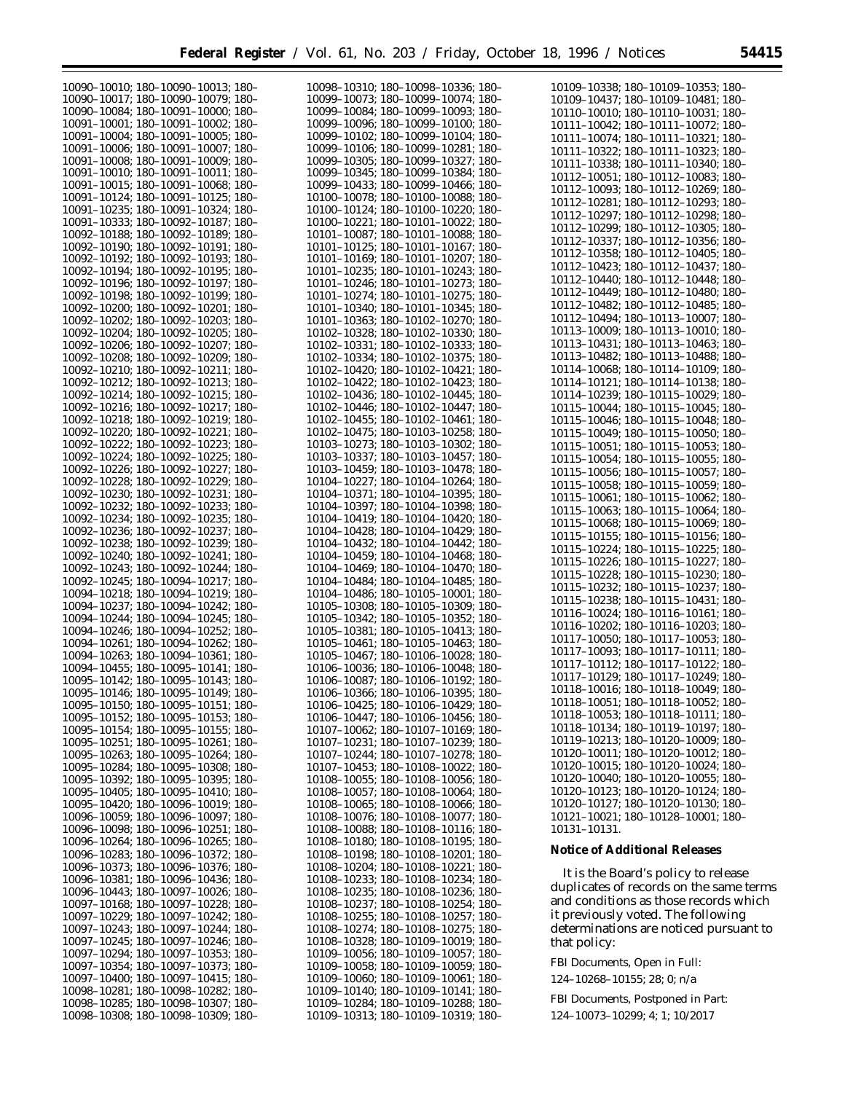| 10090-10010; 180-10090-10013; 180-                                       | 10098-10310; 180-10098-10336; 180-                                       | 10109-10338; 180-10109-10353; 180-                                  |
|--------------------------------------------------------------------------|--------------------------------------------------------------------------|---------------------------------------------------------------------|
| 10090-10017; 180-10090-10079; 180-                                       | 10099-10073; 180-10099-10074; 180-                                       | 10109-10437; 180-10109-10481; 180-                                  |
| $10090-10084$ ; 180-10091-10000; 180-                                    | 10099-10084; 180-10099-10093; 180-                                       | 10110-10010; 180-10110-10031; 180-                                  |
| 10091-10001; 180-10091-10002; 180-                                       | 10099-10096; 180-10099-10100; 180-                                       |                                                                     |
|                                                                          |                                                                          | 10111-10042; 180-10111-10072; 180-                                  |
| 10091-10004; 180-10091-10005; 180-                                       | 10099-10102; 180-10099-10104; 180-                                       | 10111-10074; 180-10111-10321; 180-                                  |
| 10091-10006; 180-10091-10007; 180-                                       | 10099-10106: 180-10099-10281: 180-                                       | 10111-10322; 180-10111-10323; 180-                                  |
| 10091-10008; 180-10091-10009; 180-                                       | 10099-10305; 180-10099-10327; 180-                                       | 10111-10338; 180-10111-10340; 180-                                  |
| 10091-10010; 180-10091-10011; 180-                                       | 10099-10345; 180-10099-10384; 180-                                       |                                                                     |
| 10091-10015; 180-10091-10068; 180-                                       | 10099-10433; 180-10099-10466; 180-                                       | 10112-10051; 180-10112-10083; 180-                                  |
|                                                                          |                                                                          | 10112-10093; 180-10112-10269; 180-                                  |
| 10091-10124; 180-10091-10125; 180-                                       | 10100-10078; 180-10100-10088; 180-                                       | 10112-10281; 180-10112-10293; 180-                                  |
| 10091-10235; 180-10091-10324; 180-                                       | 10100-10124; 180-10100-10220; 180-                                       | 10112-10297; 180-10112-10298; 180-                                  |
| 10091-10333; 180-10092-10187; 180-                                       | 10100-10221; 180-10101-10022; 180-                                       |                                                                     |
| 10092-10188; 180-10092-10189; 180-                                       | 10101-10087; 180-10101-10088; 180-                                       | 10112-10299; 180-10112-10305; 180-                                  |
| 10092-10190: 180-10092-10191: 180-                                       |                                                                          | 10112-10337; 180-10112-10356; 180-                                  |
|                                                                          | $10101 - 10125$ ; 180-10101-10167; 180-                                  | 10112-10358; 180-10112-10405; 180-                                  |
| 10092-10192; 180-10092-10193; 180-                                       | 10101-10169; 180-10101-10207; 180-                                       |                                                                     |
| 10092-10194; 180-10092-10195; 180-                                       | 10101-10235; 180-10101-10243; 180-                                       | 10112-10423; 180-10112-10437; 180-                                  |
| 10092-10196; 180-10092-10197; 180-                                       | 10101-10246; 180-10101-10273; 180-                                       | 10112-10440; 180-10112-10448; 180-                                  |
| 10092-10198; 180-10092-10199; 180-                                       | 10101-10274; 180-10101-10275; 180-                                       | 10112-10449; 180-10112-10480; 180-                                  |
|                                                                          |                                                                          | 10112-10482; 180-10112-10485; 180-                                  |
| 10092-10200; 180-10092-10201; 180-                                       | 10101-10340; 180-10101-10345; 180-                                       |                                                                     |
| 10092-10202; 180-10092-10203; 180-                                       | 10101-10363; 180-10102-10270; 180-                                       | 10112-10494; 180-10113-10007; 180-                                  |
| 10092-10204; 180-10092-10205; 180-                                       | 10102-10328; 180-10102-10330; 180-                                       | 10113-10009; 180-10113-10010; 180-                                  |
| 10092-10206; 180-10092-10207; 180-                                       | 10102-10331; 180-10102-10333; 180-                                       | 10113-10431; 180-10113-10463; 180-                                  |
| 10092-10208; 180-10092-10209; 180-                                       | 10102-10334; 180-10102-10375; 180-                                       | 10113-10482; 180-10113-10488; 180-                                  |
| 10092-10210; 180-10092-10211; 180-                                       | 10102-10420; 180-10102-10421; 180-                                       | 10114-10068; 180-10114-10109; 180-                                  |
|                                                                          |                                                                          |                                                                     |
| 10092-10212; 180-10092-10213; 180-                                       | 10102-10422; 180-10102-10423; 180-                                       | 10114-10121; 180-10114-10138; 180-                                  |
| 10092-10214; 180-10092-10215; 180-                                       | 10102-10436; 180-10102-10445; 180-                                       | 10114-10239; 180-10115-10029; 180-                                  |
| 10092-10216; 180-10092-10217; 180-                                       | 10102-10446; 180-10102-10447; 180-                                       | 10115-10044; 180-10115-10045; 180-                                  |
| 10092-10218; 180-10092-10219; 180-                                       | 10102-10455; 180-10102-10461; 180-                                       | 10115-10046; 180-10115-10048; 180-                                  |
| 10092-10220; 180-10092-10221; 180-                                       | 10102-10475; 180-10103-10258; 180-                                       |                                                                     |
|                                                                          |                                                                          | 10115-10049; 180-10115-10050; 180-                                  |
| 10092-10222; 180-10092-10223; 180-                                       | 10103-10273; 180-10103-10302; 180-                                       | 10115-10051; 180-10115-10053; 180-                                  |
| 10092-10224; 180-10092-10225; 180-                                       | 10103-10337; 180-10103-10457; 180-                                       | 10115-10054; 180-10115-10055; 180-                                  |
| 10092-10226; 180-10092-10227; 180-                                       | 10103-10459; 180-10103-10478; 180-                                       | 10115-10056; 180-10115-10057; 180-                                  |
| 10092-10228; 180-10092-10229; 180-                                       | 10104-10227; 180-10104-10264; 180-                                       | 10115-10058; 180-10115-10059; 180-                                  |
| 10092-10230; 180-10092-10231; 180-                                       | 10104-10371; 180-10104-10395; 180-                                       |                                                                     |
| 10092-10232; 180-10092-10233; 180-                                       | 10104-10397; 180-10104-10398; 180-                                       | 10115-10061; 180-10115-10062; 180-                                  |
|                                                                          |                                                                          | 10115-10063; 180-10115-10064; 180-                                  |
| 10092-10234; 180-10092-10235; 180-                                       | 10104-10419; 180-10104-10420; 180-                                       | 10115-10068; 180-10115-10069; 180-                                  |
| 10092-10236; 180-10092-10237; 180-                                       | 10104-10428; 180-10104-10429; 180-                                       | 10115-10155; 180-10115-10156; 180-                                  |
| 10092-10238; 180-10092-10239; 180-                                       | 10104-10432; 180-10104-10442; 180-                                       | 10115-10224; 180-10115-10225; 180-                                  |
| 10092-10240; 180-10092-10241; 180-                                       | 10104-10459; 180-10104-10468; 180-                                       |                                                                     |
| 10092-10243; 180-10092-10244; 180-                                       | 10104-10469; 180-10104-10470; 180-                                       | 10115-10226; 180-10115-10227; 180-                                  |
| 10092-10245; 180-10094-10217; 180-                                       | 10104-10484; 180-10104-10485; 180-                                       | 10115-10228; 180-10115-10230; 180-                                  |
|                                                                          |                                                                          | 10115-10232; 180-10115-10237; 180-                                  |
| 10094-10218; 180-10094-10219; 180-                                       | 10104-10486; 180-10105-10001; 180-                                       | 10115-10238; 180-10115-10431; 180-                                  |
| 10094-10237; 180-10094-10242; 180-                                       | 10105-10308; 180-10105-10309; 180-                                       | 10116-10024; 180-10116-10161; 180-                                  |
| 10094-10244; 180-10094-10245; 180-                                       | 10105-10342; 180-10105-10352; 180-                                       |                                                                     |
| 10094-10246; 180-10094-10252; 180-                                       | 10105-10381; 180-10105-10413; 180-                                       | 10116-10202; 180-10116-10203; 180-                                  |
| 10094-10261; 180-10094-10262; 180-                                       | 10105-10461; 180-10105-10463; 180-                                       | 10117-10050; 180-10117-10053; 180-                                  |
| 10094-10263; 180-10094-10361; 180-                                       | 10105-10467; 180-10106-10028; 180-                                       | 10117-10093; 180-10117-10111; 180-                                  |
|                                                                          |                                                                          | 10117-10112; 180-10117-10122; 180-                                  |
| 10094-10455; 180-10095-10141; 180-                                       | 10106-10036; 180-10106-10048; 180-                                       | 10117-10129; 180-10117-10249; 180-                                  |
| 10095-10142; 180-10095-10143; 180-                                       | 10106-10087; 180-10106-10192; 180-                                       |                                                                     |
| 10095-10146; 180-10095-10149; 180-                                       | 10106-10366: 180-10106-10395: 180-                                       | 10118-10016; 180-10118-10049; 180-                                  |
| $10095 - 10150$ ; 180-10095-10151; 180-                                  | 10106-10425; 180-10106-10429; 180-                                       | 10118-10051; 180-10118-10052; 180-                                  |
| 10095-10152; 180-10095-10153; 180-                                       | 10106-10447; 180-10106-10456; 180-                                       | 10118-10053; 180-10118-10111; 180-                                  |
|                                                                          |                                                                          | 10118-10134; 180-10119-10197; 180-                                  |
| $10095 - 10154$ ; 180-10095-10155; 180-                                  | 10107-10062; 180-10107-10169; 180-                                       | 10119-10213; 180-10120-10009; 180-                                  |
| 10095-10251; 180-10095-10261; 180-                                       | 10107-10231; 180-10107-10239; 180-                                       |                                                                     |
| 10095-10263; 180-10095-10264; 180-                                       | 10107–10244; 180–10107–10278; 180–                                       | $10120 - 10011$ ; 180-10120-10012; 180-                             |
| 10095-10284; 180-10095-10308; 180-                                       | 10107-10453; 180-10108-10022; 180-                                       | 10120-10015; 180-10120-10024; 180-                                  |
| $10095 - 10392$ ; 180-10095-10395; 180-                                  | 10108-10055; 180-10108-10056; 180-                                       | 10120-10040; 180-10120-10055; 180-                                  |
| 10095-10405; 180-10095-10410; 180-                                       | 10108-10057; 180-10108-10064; 180-                                       | 10120-10123; 180-10120-10124; 180-                                  |
|                                                                          |                                                                          | 10120-10127; 180-10120-10130; 180-                                  |
| 10095-10420; 180-10096-10019; 180-                                       | 10108-10065; 180-10108-10066; 180-                                       |                                                                     |
| 10096-10059; 180-10096-10097; 180-                                       | 10108-10076; 180-10108-10077; 180-                                       | 10121-10021; 180-10128-10001; 180-                                  |
| 10096-10098; 180-10096-10251; 180-                                       | 10108-10088; 180-10108-10116; 180-                                       | 10131-10131.                                                        |
| 10096-10264; 180-10096-10265; 180-                                       | 10108-10180; 180-10108-10195; 180-                                       |                                                                     |
| 10096-10283; 180-10096-10372; 180-                                       | 10108-10198; 180-10108-10201; 180-                                       | Notice of Additional Releases                                       |
| 10096-10373; 180-10096-10376; 180-                                       | 10108-10204; 180-10108-10221; 180-                                       |                                                                     |
| 10096-10381; 180-10096-10436; 180-                                       | 10108-10233; 180-10108-10234; 180-                                       | It is the Board's policy to release                                 |
|                                                                          |                                                                          | duplicates of records on the same terms                             |
| 10096-10443; 180-10097-10026; 180-                                       | 10108-10235; 180-10108-10236; 180-                                       | and conditions as those records which                               |
| 10097-10168; 180-10097-10228; 180-                                       | 10108-10237; 180-10108-10254; 180-                                       |                                                                     |
| 10097-10229; 180-10097-10242; 180-                                       | 10108-10255; 180-10108-10257; 180-                                       | it previously voted. The following                                  |
| 10097-10243; 180-10097-10244; 180-                                       | 10108-10274; 180-10108-10275; 180-                                       | determinations are noticed pursuant to                              |
| 10097-10245; 180-10097-10246; 180-                                       | 10108-10328; 180-10109-10019; 180-                                       | that policy:                                                        |
| 10097-10294; 180-10097-10353; 180-                                       | 10109–10056; 180–10109–10057; 180–                                       |                                                                     |
| 10097-10354; 180-10097-10373; 180-                                       |                                                                          | FBI Documents, Open in Full:                                        |
|                                                                          |                                                                          |                                                                     |
|                                                                          | 10109–10058; 180–10109–10059; 180–                                       |                                                                     |
| $10097 - 10400$ ; 180-10097-10415; 180-                                  | 10109–10060; 180–10109–10061; 180–                                       | $124 - 10268 - 10155$ ; 28; 0; n/a                                  |
| 10098-10281; 180-10098-10282; 180-                                       | 10109-10140; 180-10109-10141; 180-                                       |                                                                     |
| 10098-10285; 180-10098-10307; 180-<br>10098-10308; 180-10098-10309; 180- | 10109–10284; 180–10109–10288; 180–<br>10109-10313; 180-10109-10319; 180- | FBI Documents, Postponed in Part:<br>124-10073-10299; 4; 1; 10/2017 |